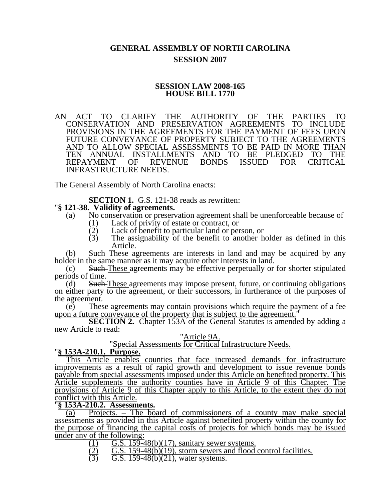# **GENERAL ASSEMBLY OF NORTH CAROLINA SESSION 2007**

## **SESSION LAW 2008-165 HOUSE BILL 1770**

AN ACT TO CLARIFY THE AUTHORITY OF THE PARTIES TO CONSERVATION AND PRESERVATION AGREEMENTS TO INCLUDE PROVISIONS IN THE AGREEMENTS FOR THE PAYMENT OF FEES UPON FUTURE CONVEYANCE OF PROPERTY SUBJECT TO THE AGREEMENTS AND TO ALLOW SPECIAL ASSESSMENTS TO BE PAID IN MORE THAN TEN ANNUAL INSTALLMENTS AND TO BE PLEDGED TO THE<br>REPAYMENT OF REVENUE BONDS ISSUED FOR CRITICAL REPAYMENT INFRASTRUCTURE NEEDS.

The General Assembly of North Carolina enacts:

**SECTION 1.** G.S. 121-38 reads as rewritten: "**§ 121-38. Validity of agreements.** 

- (a) No conservation or preservation agreement shall be unenforceable because of
	-
	- (1) Lack of privity of estate or contract, or<br>(2) Lack of benefit to particular land or per (2) Lack of benefit to particular land or person, or  $(3)$  The assignability of the benefit to another h
	- The assignability of the benefit to another holder as defined in this Article.

(b) Such-These agreements are interests in land and may be acquired by any holder in the same manner as it may acquire other interests in land.

(c) Such These agreements may be effective perpetually or for shorter stipulated periods of time.

(d) Such These agreements may impose present, future, or continuing obligations on either party to the agreement, or their successors, in furtherance of the purposes of the agreement.

(e) These agreements may contain provisions which require the payment of a fee upon a future conveyance of the property that is subject to the agreement.

**SECTION 2.** Chapter 153A of the General Statutes is amended by adding a new Article to read:

### "Article 9A.

"Special Assessments for Critical Infrastructure Needs. "**§ 153A-210.1. Purpose.**

This Article enables counties that face increased demands for infrastructure improvements as a result of rapid growth and development to issue revenue bonds payable from special assessments imposed under this Article on benefited property. This Article supplements the authority counties have in Article 9 of this Chapter. The provisions of Article 9 of this Chapter apply to this Article, to the extent they do not conflict with this Article.

### "**§ 153A-210.2. Assessments.**

(a) Projects. – The board of commissioners of a county may make special assessments as provided in this Article against benefited property within the county for the purpose of financing the capital costs of projects for which bonds may be issued under any of the following:

- $\frac{(1)}{(2)}$  G.S. 159-48(b)(17), sanitary sewer systems.<br>  $\frac{(2)}{(2)}$  G.S. 159-48(b)(19), storm sewers and flood
- $\overline{(\overline{2})}$   $\overline{G.S. 159-48(b)(19)}$ , storm sewers and flood control facilities.<br>(3)  $\overline{G.S. 159-48(b)(21)}$ , water systems.
- $\overline{G.S.}$  159-48(b)(21), water systems.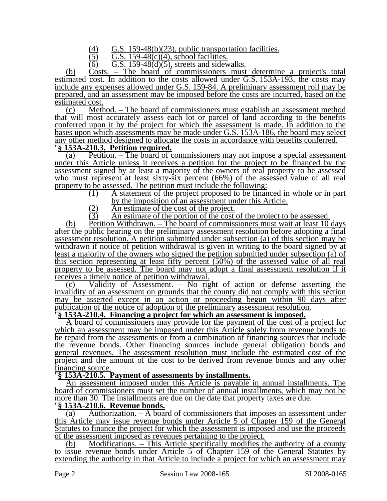(4) G.S. 159-48(b)(23), public transportation facilities.<br>  $\overline{(5)}$  G.S. 159-48(c)(4), school facilities.

G.S.  $159-48(c)(4)$ , school facilities.

 $(6)$  G.S. 159-48 $(d)(5)$ , streets and sidewalks.

(b) Costs. – The board of commissioners must determine a project's total estimated cost. In addition to the costs allowed under G.S. 153A-193, the costs may include any expenses allowed under G.S. 159-84. A preliminary assessment roll may be prepared, and an assessment may be imposed before the costs are incurred, based on the estimated cost.

(c) Method. – The board of commissioners must establish an assessment method that will most accurately assess each lot or parcel of land according to the benefits conferred upon it by the project for which the assessment is made. In addition to the bases upon which assessments may be made under G.S. 153A-186, the board may select any other method designed to allocate the costs in accordance with benefits conferred. "**§ 153A-210.3. Petition required.**

(a) Petition. – The board of commissioners may not impose a special assessment under this Article unless it receives a petition for the project to be financed by the assessment signed by at least a majority of the owners of real property to be assessed who must represent at least sixty-six percent (66%) of the assessed value of all real property to be assessed. The petition must include the following:

(1) A statement of the project proposed to be financed in whole or in part by the imposition of an assessment under this Article.

- $\frac{(2)}{(3)}$  An estimate of the cost of the project.<br>  $\overline{(3)}$  An estimate of the portion of the cost
- An estimate of the portion of the cost of the project to be assessed.

(b) Petition Withdrawn. – The board of commissioners must wait at least 10 days after the public hearing on the preliminary assessment resolution before adopting a final assessment resolution. A petition submitted under subsection (a) of this section may be withdrawn if notice of petition withdrawal is given in writing to the board signed by at least a majority of the owners who signed the petition submitted under subsection (a) of this section representing at least fifty percent (50%) of the assessed value of all real property to be assessed. The board may not adopt a final assessment resolution if it receives a timely notice of petition withdrawal.

(c) Validity of Assessment. – No right of action or defense asserting the invalidity of an assessment on grounds that the county did not comply with this section may be asserted except in an action or proceeding begun within 90 days after publication of the notice of adoption of the preliminary assessment resolution. "**§ 153A-210.4. Financing a project for which an assessment is imposed.**

A board of commissioners may provide for the payment of the cost of a project for which an assessment may be imposed under this Article solely from revenue bonds to be repaid from the assessments or from a combination of financing sources that include the revenue bonds. Other financing sources include general obligation bonds and general revenues. The assessment resolution must include the estimated cost of the project and the amount of the cost to be derived from revenue bonds and any other financing source.

## "**§ 153A-210.5. Payment of assessments by installments.**

An assessment imposed under this Article is payable in annual installments. The board of commissioners must set the number of annual installments, which may not be more than 30. The installments are due on the date that property taxes are due. "**§ 153A-210.6. Revenue bonds.**

(a) Authorization. – A board of commissioners that imposes an assessment under this Article may issue revenue bonds under Article 5 of Chapter 159 of the General Statutes to finance the project for which the assessment is imposed and use the proceeds

of the assessment imposed as revenues pertaining to the project.<br>(b) Modifications. – This Article specifically modifies the authority of a county to issue revenue bonds under Article 5 of Chapter 159 of the General Statutes by extending the authority in that Article to include a project for which an assessment may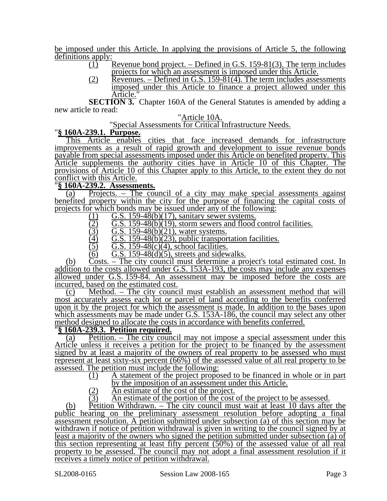be imposed under this Article. In applying the provisions of Article 5, the following  $\frac{\text{definitions apply:}}{(1)}$ 

- Revenue bond project. Defined in G.S. 159-81(3). The term includes projects for which an assessment is imposed under this Article.
- $(2)$  Revenues. Defined in G.S. 159-81(4). The term includes assessments imposed under this Article to finance a project allowed under this Article.

**SECTION 3.** Chapter 160A of the General Statutes is amended by adding a new article to read:

### "Article 10A.

"Special Assessments for Critical Infrastructure Needs. "**§ 160A-239.1. Purpose.**

This Article enables cities that face increased demands for infrastructure improvements as a result of rapid growth and development to issue revenue bonds payable from special assessments imposed under this Article on benefited property. This Article supplements the authority cities have in Article 10 of this Chapter. The provisions of Article 10 of this Chapter apply to this Article, to the extent they do not conflict with this Article.

# "**§ 160A-239.2. Assessments.**

(a) Projects. – The council of a city may make special assessments against benefited property within the city for the purpose of financing the capital costs of projects for which bonds may be issued under any of the following:

- 
- (1) G.S. 159-48(b)(17), sanitary sewer systems.<br>
(2) G.S. 159-48(b)(19), storm sewers and flood<br>
(3) G.S. 159-48(b)(21), water systems.  $\overline{G.S. 159-48(b)(19)}$ , storm sewers and flood control facilities.
- $\overline{(3)}$  G.S. 159-48(b)(21), water systems.<br>
(4) G.S. 159-48(b)(23), public transpor
- (4) G.S. 159-48(b)(23), public transportation facilities.<br>(5) G.S. 159-48(c)(4), school facilities.
- $\overline{(5)}$   $\overline{G.S. 159-48(c)(4)}$ , school facilities.<br>  $\overline{G.S. 159-48(d)(5)}$ , streets and sidew
- $G.S. 159-48(d)(5)$ , streets and sidewalks.

(b) Costs. – The city council must determine a project's total estimated cost. In addition to the costs allowed under G.S. 153A-193, the costs may include any expenses allowed under G.S. 159-84. An assessment may be imposed before the costs are incurred, based on the estimated cost.

(c) Method. – The city council must establish an assessment method that will most accurately assess each lot or parcel of land according to the benefits conferred upon it by the project for which the assessment is made. In addition to the bases upon which assessments may be made under G.S. 153A-186, the council may select any other method designed to allocate the costs in accordance with benefits conferred. "**§ 160A-239.3. Petition required.**

(a) Petition. – The city council may not impose a special assessment under this Article unless it receives a petition for the project to be financed by the assessment signed by at least a majority of the owners of real property to be assessed who must represent at least sixty-six percent (66%) of the assessed value of all real property to be assessed. The petition must include the following:

- (1) A statement of the project proposed to be financed in whole or in part
	- by the imposition of an assessment under this Article.
- $\overline{(2)}$  An estimate of the cost of the project.<br>  $\overline{(3)}$  An estimate of the portion of the cost
- An estimate of the portion of the cost of the project to be assessed.

(b) Petition Withdrawn. – The city council must wait at least 10 days after the public hearing on the preliminary assessment resolution before adopting a final assessment resolution. A petition submitted under subsection (a) of this section may be withdrawn if notice of petition withdrawal is given in writing to the council signed by at least a majority of the owners who signed the petition submitted under subsection (a) of this section representing at least fifty percent (50%) of the assessed value of all real property to be assessed. The council may not adopt a final assessment resolution if it receives a timely notice of petition withdrawal.